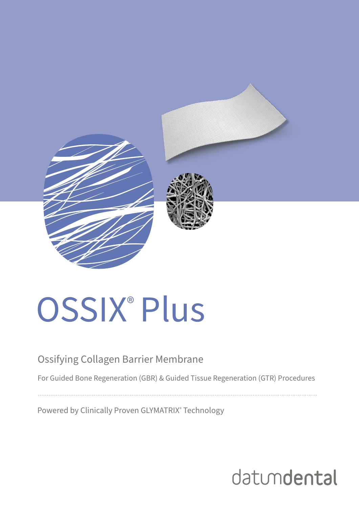

# OSSIX<sup>®</sup> Plus

#### Ossifying Collagen Barrier Membrane

For Guided Bone Regeneration (GBR) & Guided Tissue Regeneration (GTR) Procedures

Powered by Clinically Proven GLYMATRIX® Technology

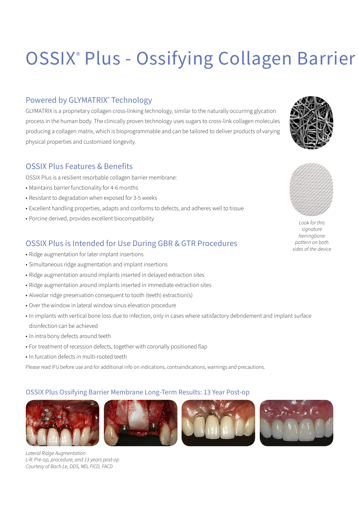# OSSIX® Plus - Ossifying Collagen Barrier

#### Powered by GLYMATRIX® Technology

GLYMATRIX is a proprietary collagen cross-linking technology, similar to the naturally occurring glycation process in the human body. The clinically proven technology uses sugars to cross-link collagen molecules producing a collagen matrix, which is bioprogrammable and can be tailored to deliver products of varying physical properties and customized longevity.

#### OSSIX Plus Features & Benefits

OSSIX Plus is a resilient resorbable collagen barrier membrane:

- Maintains barrier functionality for 4-6 months
- Resistant to degradation when exposed for 3-5 weeks
- Excellent handling properties, adapts and conforms to defects, and adheres well to tissue
- Porcine derived, provides excellent biocompatibility

#### OSSIX Plus is Intended for Use During GBR & GTR Procedures

- Ridge augmentation for later implant insertions
- Simultaneous ridge augmentation and implant insertions
- Ridge augmentation around implants inserted in delayed extraction sites
- Ridge augmentation around implants inserted in immediate extraction sites
- Alveolar ridge preservation consequent to tooth (teeth) extraction(s)
- Over the window in lateral window sinus elevation procedure
- In implants with vertical bone loss due to infection, only in cases where satisfactory debridement and implant surface disinfection can be achieved
- In intra bony defects around teeth
- For treatment of recession defects, together with coronally positioned flap
- In furcation defects in multi-rooted teeth

Please read IFU before use and for additional info on indications, contraindications, warnings and precautions.

#### OSSIX Plus Ossifying Barrier Membrane Long-Term Results: 13 Year Post-op













*Look for this signature herringbone pattern on both sides of the device*

*Lateral Ridge Augmentation L-R: Pre-op, procedure, and 13 years post-op Courtesy of Bach Le, DDS, MD, FICD, FACD*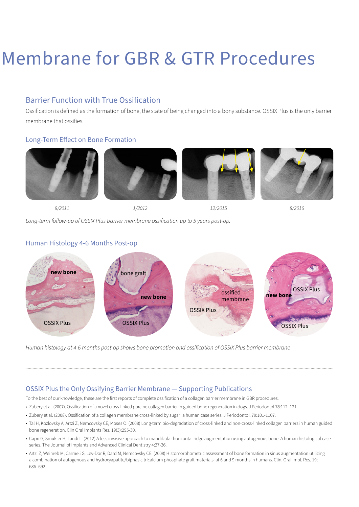# Membrane for GBR & GTR Procedures

#### Barrier Function with True Ossification

Ossification is defined as the formation of bone, the state of being changed into a bony substance. OSSIX Plus is the only barrier membrane that ossifies.

#### Long-Term Effect on Bone Formation











*8/2011 1/2012 12/2015 8/2016*

*Long-term follow-up of OSSIX Plus barrier membrane ossification up to 5 years post-op.*

#### Human Histology 4-6 Months Post-op



*Human histology at 4-6 months post-op shows bone promotion and ossification of OSSIX Plus barrier membrane* 

#### OSSIX Plus the Only Ossifying Barrier Membrane — Supporting Publications

To the best of our knowledge, these are the first reports of complete ossification of a collagen barrier membrane in GBR procedures.

- Zubery et al. (2007). Ossification of a novel cross-linked porcine collagen barrier in guided bone regeneration in dogs. J Periodontol 78:112- 121.
- Zubery et al. (2008). Ossification of a collagen membrane cross-linked by sugar: a human case series. J Periodontol. 79:101-1107.
- Tal H, Kozlovsky A, Artzi Z, Nemcovsky CE, Moses O. (2008) Long-term bio-degradation of cross-linked and non-cross-linked collagen barriers in human guided bone regeneration. Clin Oral Implants Res. 19(3):295-30.
- Capri G, Smukler H, Landi L. (2012) A less invasive approach to mandibular horizontal ridge augmentation using autogenous bone: A human histological case series. The Journal of Implants and Advanced Clinical Dentistry 4:27-36.
- Artzi Z, Weinreb M, Carmeli G, Lev-Dor R, Dard M, Nemcovsky CE. (2008) Histomorphometric assessment of bone formation in sinus augmentation utilizing a combination of autogenous and hydroxyapatite/biphasic tricalcium phosphate graft materials: at 6 and 9 months in humans. Clin. Oral Impl. Res. 19; 686–692.